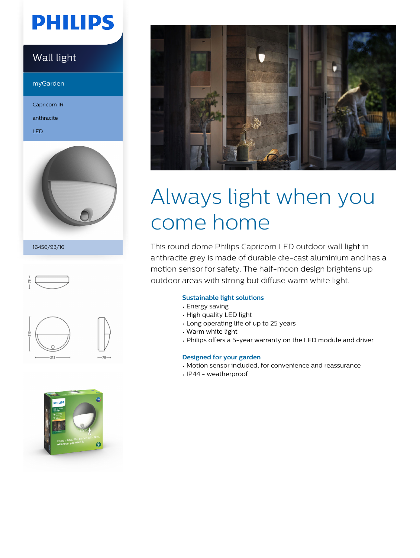# **PHILIPS**

## Wall light

myGarden

Capricorn IR

anthracite

LED



16456/93/16







# Always light when you come home

This round dome Philips Capricorn LED outdoor wall light in anthracite grey is made of durable die-cast aluminium and has a motion sensor for safety. The half-moon design brightens up outdoor areas with strong but diffuse warm white light.

#### **Sustainable light solutions**

- Energy saving
- High quality LED light
- Long operating life of up to 25 years
- Warm white light
- Philips offers a 5-year warranty on the LED module and driver

#### **Designed for your garden**

- Motion sensor included, for convenience and reassurance
- IP44 weatherproof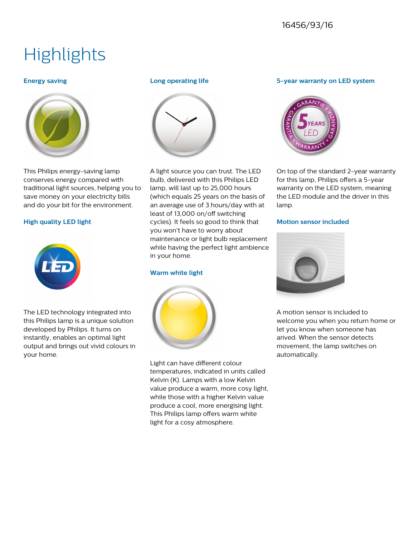## 16456/93/16

# **Highlights**

#### **Energy saving**



This Philips energy-saving lamp conserves energy compared with traditional light sources, helping you to save money on your electricity bills and do your bit for the environment.

#### **High quality LED light**



The LED technology integrated into this Philips lamp is a unique solution developed by Philips. It turns on instantly, enables an optimal light output and brings out vivid colours in your home.

#### **Long operating life**



A light source you can trust. The LED bulb, delivered with this Philips LED lamp, will last up to 25,000 hours (which equals 25 years on the basis of an average use of 3 hours/day with at least of 13,000 on/off switching cycles). It feels so good to think that you won't have to worry about maintenance or light bulb replacement while having the perfect light ambience in your home.

#### **Warm white light**



Light can have different colour temperatures, indicated in units called Kelvin (K). Lamps with a low Kelvin value produce a warm, more cosy light, while those with a higher Kelvin value produce a cool, more energising light. This Philips lamp offers warm white light for a cosy atmosphere.

#### **5-year warranty on LED system**



On top of the standard 2-year warranty for this lamp, Philips offers a 5-year warranty on the LED system, meaning the LED module and the driver in this lamp.

#### **Motion sensor included**



A motion sensor is included to welcome you when you return home or let you know when someone has arived. When the sensor detects movement, the lamp switches on automatically.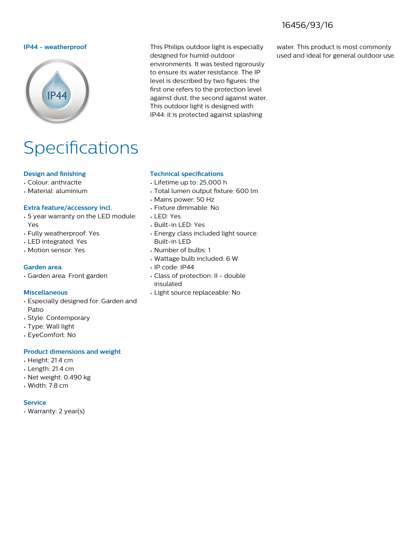## 16456/93/16

#### **IP44 - weatherproof** This Philips outdoor light is especially



# IP44: it is protected against splashing

### water. This product is most commonly used and ideal for general outdoor use.

# Specifications

#### **Design and finishing**

- Colour: anthracite
- Material: aluminium

#### **Extra feature/accessory incl.**

- 5 year warranty on the LED module: Yes
- Fully weatherproof: Yes
- LED integrated: Yes
- Motion sensor: Yes

#### **Garden area**

• Garden area: Front garden

#### **Miscellaneous**

- Especially designed for: Garden and Patio
- Style: Contemporary
- Type: Wall light
- EyeComfort: No

#### **Product dimensions and weight**

- Height: 21.4 cm
- Length: 21.4 cm
- Net weight: 0.490 kg
- Width: 7.8 cm

#### **Service**

• Warranty: 2 year(s)

#### **Technical specifications**

• Lifetime up to: 25,000 h

designed for humid outdoor

environments. It was tested rigorously to ensure its water resistance. The IP level is described by two figures: the first one refers to the protection level against dust, the second against water. This outdoor light is designed with

- Total lumen output fixture: 600 lm
- Mains power: 50 Hz
- Fixture dimmable: No
- LED: Yes
- Built-in LED: Yes
- Energy class included light source: Built-in LED
- Number of bulbs: 1
- Wattage bulb included: 6 W
- IP code: IP44
- Class of protection: II double insulated
- Light source replaceable: No